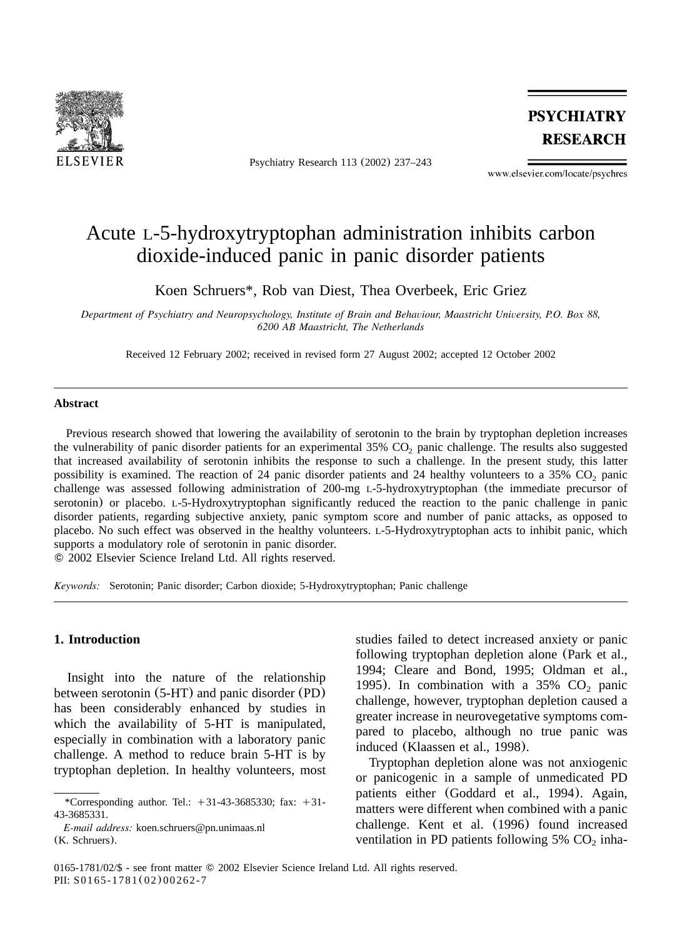

Psychiatry Research 113 (2002) 237–243

**PSYCHIATRY RESEARCH** 

www.elsevier.com/locate/psychres

# Acute L-5-hydroxytryptophan administration inhibits carbon dioxide-induced panic in panic disorder patients

Koen Schruers\*, Rob van Diest, Thea Overbeek, Eric Griez

*Department of Psychiatry and Neuropsychology, Institute of Brain and Behaviour, Maastricht University, P.O. Box 88, 6200 AB Maastricht, The Netherlands*

Received 12 February 2002; received in revised form 27 August 2002; accepted 12 October 2002

#### **Abstract**

Previous research showed that lowering the availability of serotonin to the brain by tryptophan depletion increases the vulnerability of panic disorder patients for an experimental 35% CO<sub>2</sub> panic challenge. The results also suggested that increased availability of serotonin inhibits the response to such a challenge. In the present study, this latter possibility is examined. The reaction of 24 panic disorder patients and 24 healthy volunteers to a 35%  $CO<sub>2</sub>$  panic challenge was assessed following administration of 200-mg L-5-hydroxytryptophan (the immediate precursor of serotonin) or placebo. L-5-Hydroxytryptophan significantly reduced the reaction to the panic challenge in panic disorder patients, regarding subjective anxiety, panic symptom score and number of panic attacks, as opposed to placebo. No such effect was observed in the healthy volunteers. L-5-Hydroxytryptophan acts to inhibit panic, which supports a modulatory role of serotonin in panic disorder.

2002 Elsevier Science Ireland Ltd. All rights reserved.

*Keywords:* Serotonin; Panic disorder; Carbon dioxide; 5-Hydroxytryptophan; Panic challenge

# **1. Introduction**

Insight into the nature of the relationship between serotonin (5-HT) and panic disorder (PD) has been considerably enhanced by studies in which the availability of 5-HT is manipulated, especially in combination with a laboratory panic challenge. A method to reduce brain 5-HT is by tryptophan depletion. In healthy volunteers, most

*E-mail address:* koen.schruers@pn.unimaas.nl (K. Schruers).

studies failed to detect increased anxiety or panic following tryptophan depletion alone ([Park et al.,](#page-6-0) [1994; Cleare and Bond, 1995; Oldman et al.,](#page-6-0) [1995](#page-6-0)). In combination with a  $35\%$  CO<sub>2</sub> panic challenge, however, tryptophan depletion caused a greater increase in neurovegetative symptoms compared to placebo, although no true panic was induced ([Klaassen et al., 1998](#page-6-0)).

Tryptophan depletion alone was not anxiogenic or panicogenic in a sample of unmedicated PD patients either ([Goddard et al., 1994](#page-6-0)). Again, matters were different when combined with a panic challenge. [Kent et al.](#page-6-0) (1996) found increased ventilation in PD patients following  $5\%$  CO<sub>2</sub> inha-

<sup>\*</sup>Corresponding author. Tel.:  $+31-43-3685330$ ; fax:  $+31-$ 43-3685331.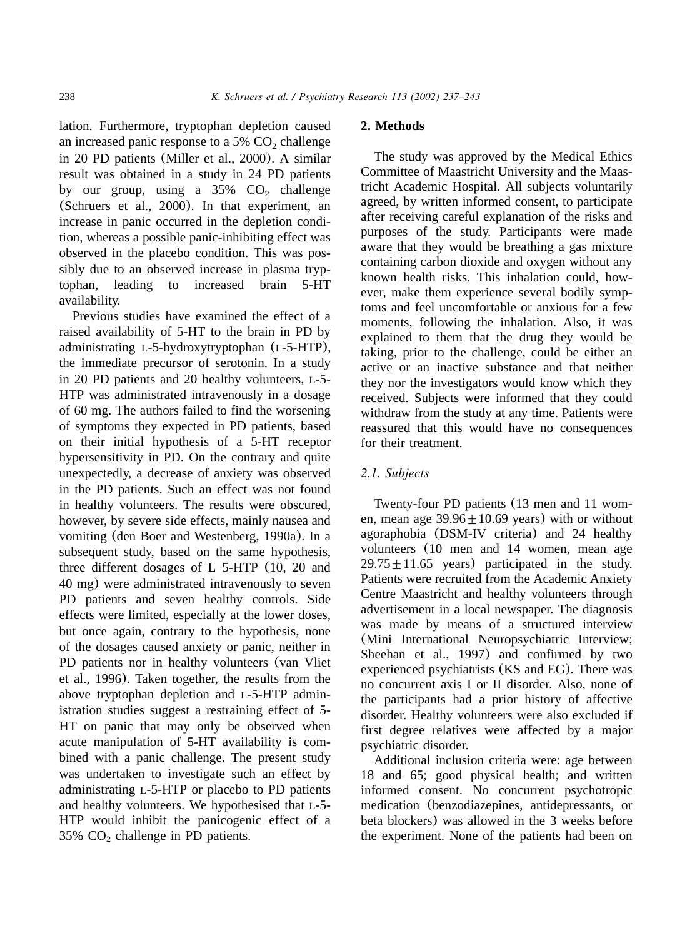lation. Furthermore, tryptophan depletion caused an increased panic response to a  $5\%$  CO<sub>2</sub> challenge in 20 PD patients ([Miller et al., 2000](#page-6-0)). A similar result was obtained in a study in 24 PD patients by our group, using a  $35\%$  CO<sub>2</sub> challenge ([Schruers et al., 2000](#page-6-0)). In that experiment, an increase in panic occurred in the depletion condition, whereas a possible panic-inhibiting effect was observed in the placebo condition. This was possibly due to an observed increase in plasma tryptophan, leading to increased brain 5-HT availability.

Previous studies have examined the effect of a raised availability of 5-HT to the brain in PD by administrating L-5-hydroxytryptophan (L-5-HTP), the immediate precursor of serotonin. In a study in 20 PD patients and 20 healthy volunteers, L-5- HTP was administrated intravenously in a dosage of 60 mg. The authors failed to find the worsening of symptoms they expected in PD patients, based on their initial hypothesis of a 5-HT receptor hypersensitivity in PD. On the contrary and quite unexpectedly, a decrease of anxiety was observed in the PD patients. Such an effect was not found in healthy volunteers. The results were obscured, however, by severe side effects, mainly nausea and vomiting ([den Boer and Westenberg, 1990a](#page-6-0)). In a subsequent study, based on the same hypothesis, three different dosages of L 5-HTP (10, 20 and 40 mg) were administrated intravenously to seven PD patients and seven healthy controls. Side effects were limited, especially at the lower doses, but once again, contrary to the hypothesis, none of the dosages caused anxiety or panic, neither in PD patients nor in healthy volunteers ([van Vliet](#page-6-0) [et al., 1996](#page-6-0)). Taken together, the results from the above tryptophan depletion and L-5-HTP administration studies suggest a restraining effect of 5- HT on panic that may only be observed when acute manipulation of 5-HT availability is combined with a panic challenge. The present study was undertaken to investigate such an effect by administrating L-5-HTP or placebo to PD patients and healthy volunteers. We hypothesised that L-5- HTP would inhibit the panicogenic effect of a 35%  $CO<sub>2</sub>$  challenge in PD patients.

#### **2. Methods**

The study was approved by the Medical Ethics Committee of Maastricht University and the Maastricht Academic Hospital. All subjects voluntarily agreed, by written informed consent, to participate after receiving careful explanation of the risks and purposes of the study. Participants were made aware that they would be breathing a gas mixture containing carbon dioxide and oxygen without any known health risks. This inhalation could, however, make them experience several bodily symptoms and feel uncomfortable or anxious for a few moments, following the inhalation. Also, it was explained to them that the drug they would be taking, prior to the challenge, could be either an active or an inactive substance and that neither they nor the investigators would know which they received. Subjects were informed that they could withdraw from the study at any time. Patients were reassured that this would have no consequences for their treatment.

# *2.1. Subjects*

Twenty-four PD patients (13 men and 11 women, mean age  $39.96 \pm 10.69$  years) with or without agoraphobia (DSM-IV criteria) and 24 healthy volunteers (10 men and 14 women, mean age  $29.75 \pm 11.65$  years) participated in the study. Patients were recruited from the Academic Anxiety Centre Maastricht and healthy volunteers through advertisement in a local newspaper. The diagnosis was made by means of a structured interview (Mini International Neuropsychiatric Interview; [Sheehan et al., 1997](#page-6-0)) and confirmed by two experienced psychiatrists (KS and EG). There was no concurrent axis I or II disorder. Also, none of the participants had a prior history of affective disorder. Healthy volunteers were also excluded if first degree relatives were affected by a major psychiatric disorder.

Additional inclusion criteria were: age between 18 and 65; good physical health; and written informed consent. No concurrent psychotropic medication (benzodiazepines, antidepressants, or beta blockers) was allowed in the 3 weeks before the experiment. None of the patients had been on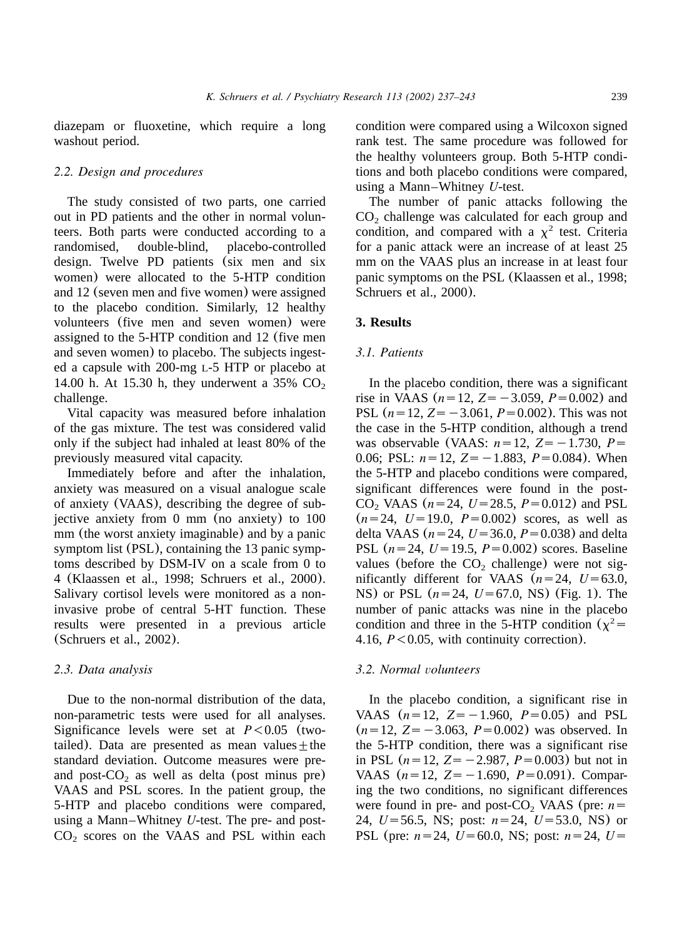diazepam or fluoxetine, which require a long washout period.

# *2.2. Design and procedures*

The study consisted of two parts, one carried out in PD patients and the other in normal volunteers. Both parts were conducted according to a randomised, double-blind, placebo-controlled design. Twelve PD patients (six men and six women) were allocated to the 5-HTP condition and 12 (seven men and five women) were assigned to the placebo condition. Similarly, 12 healthy volunteers (five men and seven women) were assigned to the 5-HTP condition and 12 (five men and seven women) to placebo. The subjects ingested a capsule with 200-mg L-5 HTP or placebo at 14.00 h. At 15.30 h, they underwent a  $35\%$  CO<sub>2</sub> challenge.

Vital capacity was measured before inhalation of the gas mixture. The test was considered valid only if the subject had inhaled at least 80% of the previously measured vital capacity.

Immediately before and after the inhalation, anxiety was measured on a visual analogue scale of anxiety (VAAS), describing the degree of subjective anxiety from 0 mm (no anxiety) to 100 mm (the worst anxiety imaginable) and by a panic symptom list (PSL), containing the 13 panic symptoms described by DSM-IV on a scale from 0 to 4 ([Klaassen et al., 1998; Schruers et al., 2000](#page-6-0)). Salivary cortisol levels were monitored as a noninvasive probe of central 5-HT function. These results were presented in a previous article ([Schruers et al., 2002](#page-6-0)).

## *2.3. Data analysis*

Due to the non-normal distribution of the data, non-parametric tests were used for all analyses. Significance levels were set at  $P < 0.05$  (twotailed). Data are presented as mean values  $\pm$  the standard deviation. Outcome measures were preand post- $CO<sub>2</sub>$  as well as delta (post minus pre) VAAS and PSL scores. In the patient group, the 5-HTP and placebo conditions were compared, using a Mann–Whitney *U*-test. The pre- and post- $CO<sub>2</sub>$  scores on the VAAS and PSL within each condition were compared using a Wilcoxon signed rank test. The same procedure was followed for the healthy volunteers group. Both 5-HTP conditions and both placebo conditions were compared, using a Mann–Whitney *U*-test.

The number of panic attacks following the  $CO<sub>2</sub>$  challenge was calculated for each group and condition, and compared with a  $\chi^2$  test. Criteria for a panic attack were an increase of at least 25 mm on the VAAS plus an increase in at least four panic symptoms on the PSL ([Klaassen et al., 1998;](#page-6-0) [Schruers et al., 2000](#page-6-0)).

## **3. Results**

#### *3.1. Patients*

In the placebo condition, there was a significant rise in VAAS ( $n=12$ ,  $Z=-3.059$ ,  $P=0.002$ ) and PSL  $(n=12, Z=-3.061, P=0.002)$ . This was not the case in the 5-HTP condition, although a trend was observable (VAAS:  $n=12$ ,  $Z=-1.730$ ,  $P=$ 0.06; PSL:  $n=12$ ,  $Z=-1.883$ ,  $P=0.084$ ). When the 5-HTP and placebo conditions were compared, significant differences were found in the post- $CO_2$  VAAS ( $n=24$ ,  $U=28.5$ ,  $P=0.012$ ) and PSL  $(n=24, U=19.0, P=0.002)$  scores, as well as delta VAAS ( $n = 24$ ,  $U = 36.0$ ,  $P = 0.038$ ) and delta PSL  $(n=24, U=19.5, P=0.002)$  scores. Baseline values (before the  $CO<sub>2</sub>$  challenge) were not significantly different for VAAS  $(n=24, U=63.0,$ NS) or PSL  $(n=24, U=67.0, NS)$  ([Fig. 1](#page-3-0)). The number of panic attacks was nine in the placebo condition and three in the 5-HTP condition  $(\chi^2 =$ 4.16, *P*<0.05, with continuity correction).

# *3.2. Normal volunteers*

In the placebo condition, a significant rise in VAAS  $(n=12, Z=-1.960, P=0.05)$  and PSL  $(n=12, Z=-3.063, P=0.002)$  was observed. In the 5-HTP condition, there was a significant rise in PSL  $(n=12, Z=-2.987, P=0.003)$  but not in VAAS  $(n=12, Z=-1.690, P=0.091)$ . Comparing the two conditions, no significant differences were found in pre- and post-CO<sub>2</sub> VAAS (pre:  $n=$ 24,  $U = 56.5$ , NS; post:  $n = 24$ ,  $U = 53.0$ , NS) or PSL (pre:  $n=24$ ,  $U=60.0$ , NS; post:  $n=24$ ,  $U=$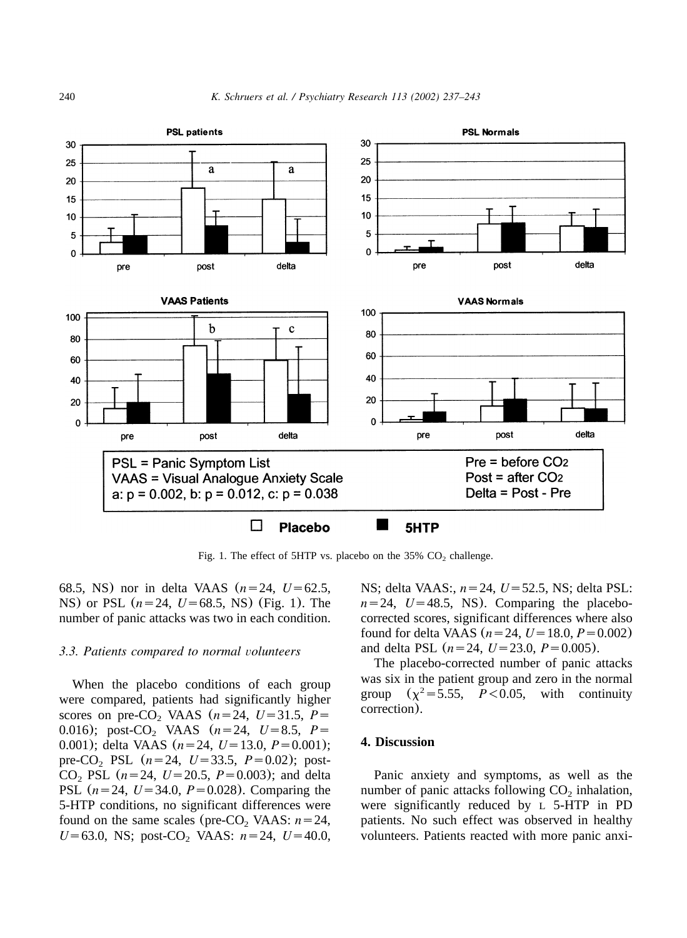<span id="page-3-0"></span>

Fig. 1. The effect of 5HTP vs. placebo on the  $35\%$  CO<sub>2</sub> challenge.

68.5, NS) nor in delta VAAS  $(n=24, U=62.5,$ NS) or PSL  $(n=24, U=68.5, NS)$  (Fig. 1). The number of panic attacks was two in each condition.

# *3.3. Patients compared to normal volunteers*

When the placebo conditions of each group were compared, patients had significantly higher scores on pre-CO<sub>2</sub> VAAS  $(n=24, U=31.5, P=$ 0.016); post-CO<sub>2</sub> VAAS  $(n=24, U=8.5, P=$ 0.001); delta VAAS  $(n=24, U=13.0, P=0.001)$ ; pre-CO<sub>2</sub> PSL  $(n=24, U=33.5, P=0.02)$ ; post-CO<sub>2</sub> PSL  $(n=24, U=20.5, P=0.003)$ ; and delta PSL  $(n=24, U=34.0, P=0.028)$ . Comparing the 5-HTP conditions, no significant differences were found on the same scales (pre-CO<sub>2</sub> VAAS:  $n=24$ ,  $U=63.0$ , NS; post-CO<sub>2</sub> VAAS:  $n=24$ ,  $U=40.0$ ,

NS; delta VAAS:,  $n=24$ ,  $U=52.5$ , NS; delta PSL:  $n=24$ ,  $U=48.5$ , NS). Comparing the placebocorrected scores, significant differences where also found for delta VAAS  $(n=24, U=18.0, P=0.002)$ and delta PSL  $(n=24, U=23.0, P=0.005)$ .

The placebo-corrected number of panic attacks was six in the patient group and zero in the normal group  $(\chi^2 = 5.55, P < 0.05,$  with continuity correction).

# **4. Discussion**

Panic anxiety and symptoms, as well as the number of panic attacks following  $CO<sub>2</sub>$  inhalation, were significantly reduced by L 5-HTP in PD patients. No such effect was observed in healthy volunteers. Patients reacted with more panic anxi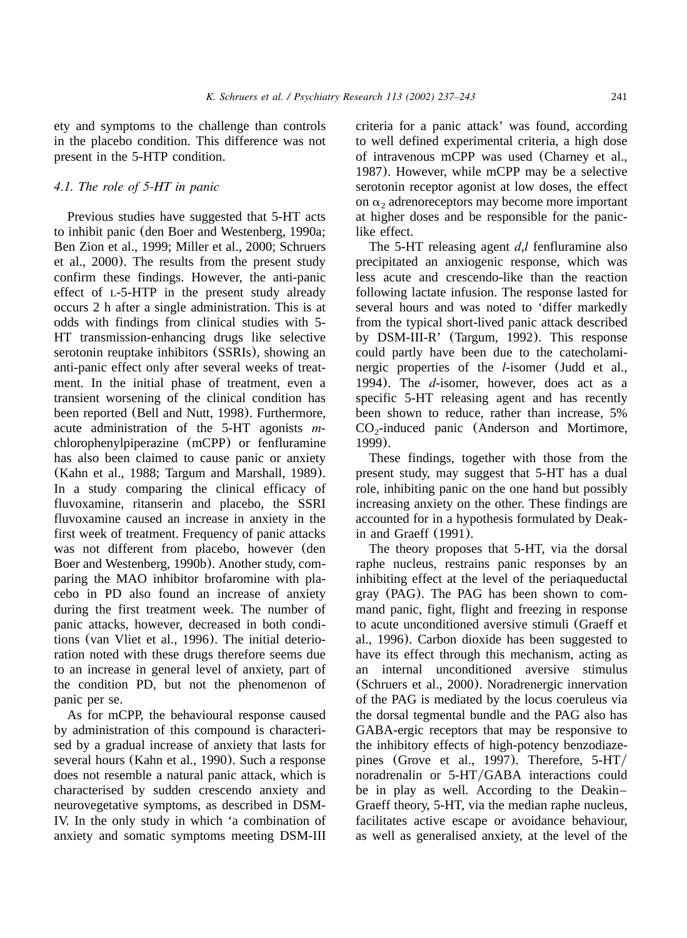ety and symptoms to the challenge than controls in the placebo condition. This difference was not present in the 5-HTP condition.

# *4.1. The role of 5-HT in panic*

Previous studies have suggested that 5-HT acts to inhibit panic ([den Boer and Westenberg, 1990a;](#page-6-0) [Ben Zion et al., 1999; Miller et al., 2000; Schruers](#page-6-0) [et al., 2000](#page-6-0)). The results from the present study confirm these findings. However, the anti-panic effect of L-5-HTP in the present study already occurs 2 h after a single administration. This is at odds with findings from clinical studies with 5- HT transmission-enhancing drugs like selective serotonin reuptake inhibitors (SSRIs), showing an anti-panic effect only after several weeks of treatment. In the initial phase of treatment, even a transient worsening of the clinical condition has been reported ([Bell and Nutt, 1998](#page-5-0)). Furthermore, acute administration of the 5-HT agonists *m*chlorophenylpiperazine (mCPP) or fenfluramine has also been claimed to cause panic or anxiety ([Kahn et al., 1988; Targum and Marshall, 1989](#page-6-0)). In a study comparing the clinical efficacy of fluvoxamine, ritanserin and placebo, the SSRI fluvoxamine caused an increase in anxiety in the first week of treatment. Frequency of panic attacks was not different from placebo, however ([den](#page-6-0) [Boer and Westenberg, 1990b](#page-6-0)). Another study, comparing the MAO inhibitor brofaromine with placebo in PD also found an increase of anxiety during the first treatment week. The number of panic attacks, however, decreased in both conditions ([van Vliet et al., 1996](#page-6-0)). The initial deterioration noted with these drugs therefore seems due to an increase in general level of anxiety, part of the condition PD, but not the phenomenon of panic per se.

As for mCPP, the behavioural response caused by administration of this compound is characterised by a gradual increase of anxiety that lasts for several hours ([Kahn et al., 1990](#page-6-0)). Such a response does not resemble a natural panic attack, which is characterised by sudden crescendo anxiety and neurovegetative symptoms, as described in DSM-IV. In the only study in which 'a combination of anxiety and somatic symptoms meeting DSM-III criteria for a panic attack' was found, according to well defined experimental criteria, a high dose of intravenous mCPP was used ([Charney et al.,](#page-5-0) [1987](#page-5-0)). However, while mCPP may be a selective serotonin receptor agonist at low doses, the effect on  $\alpha_2$  adrenoreceptors may become more important at higher doses and be responsible for the paniclike effect.

The 5-HT releasing agent *d*,*l* fenfluramine also precipitated an anxiogenic response, which was less acute and crescendo-like than the reaction following lactate infusion. The response lasted for several hours and was noted to 'differ markedly from the typical short-lived panic attack described by DSM-III-R' ([Targum, 1992](#page-6-0)). This response could partly have been due to the catecholaminergic properties of the *l*-isomer ([Judd et al.,](#page-6-0) [1994](#page-6-0)). The *d*-isomer, however, does act as a specific 5-HT releasing agent and has recently been shown to reduc[e, rather than increase, 5%](#page-5-0)  $CO<sub>2</sub>$ -induced panic (Anderson and Mortimore, [1999](#page-5-0)).

These findings, together with those from the present study, may suggest that 5-HT has a dual role, inhibiting panic on the one hand but possibly increasing anxiety on the other. These findings are accounted for in a hypothesis formulated by [Deak](#page-6-0)[in and Graeff](#page-6-0) (1991).

The theory proposes that 5-HT, via the dorsal raphe nucleus, restrains panic responses by an inhibiting effect at the level of the periaqueductal gray (PAG). The PAG has been shown to command panic, fight, flight and freezing in response to acute unconditioned aversive stimuli ([Graeff et](#page-6-0) [al., 1996](#page-6-0)). Carbon dioxide has been suggested to have its effect through this mechanism, acting as an internal unconditioned aversive stimulus ([Schruers et al., 2000](#page-6-0)). Noradrenergic innervation of the PAG is mediated by the locus coeruleus via the dorsal tegmental bundle and the PAG also has GABA-ergic receptors that may be responsive to the inhibitory effects of high-potency benzodiaze-pines ([Grove et al., 1997](#page-6-0)). Therefore, 5-HT/ noradrenalin or 5-HT/GABA interactions could be in play as well. According to the Deakin– Graeff theory, 5-HT, via the median raphe nucleus, facilitates active escape or avoidance behaviour, as well as generalised anxiety, at the level of the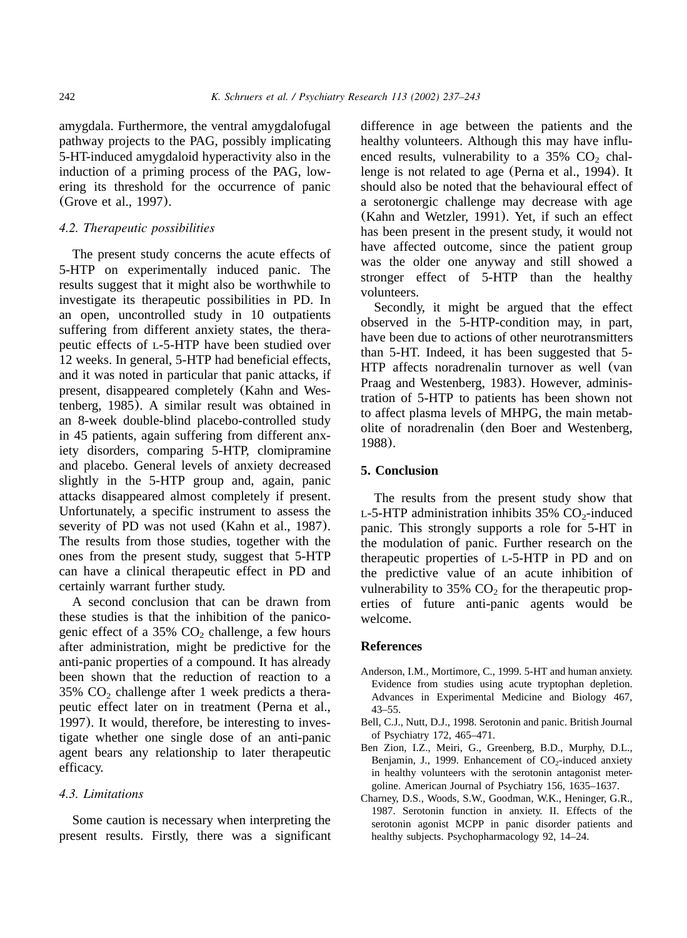<span id="page-5-0"></span>amygdala. Furthermore, the ventral amygdalofugal pathway projects to the PAG, possibly implicating 5-HT-induced amygdaloid hyperactivity also in the induction of a priming process of the PAG, lowering its threshold for the occurrence of panic ([Grove et al., 1997](#page-6-0)).

# *4.2. Therapeutic possibilities*

The present study concerns the acute effects of 5-HTP on experimentally induced panic. The results suggest that it might also be worthwhile to investigate its therapeutic possibilities in PD. In an open, uncontrolled study in 10 outpatients suffering from different anxiety states, the therapeutic effects of L-5-HTP have been studied over 12 weeks. In general, 5-HTP had beneficial effects, and it was noted in particular that panic attacks, if present, disappeared completely ([Kahn and Wes](#page-6-0)[tenberg, 1985](#page-6-0)). A similar result was obtained in an 8-week double-blind placebo-controlled study in 45 patients, again suffering from different anxiety disorders, comparing 5-HTP, clomipramine and placebo. General levels of anxiety decreased slightly in the 5-HTP group and, again, panic attacks disappeared almost completely if present. Unfortunately, a specific instrument to assess the severity of PD was not used ([Kahn et al., 1987](#page-6-0)). The results from those studies, together with the ones from the present study, suggest that 5-HTP can have a clinical therapeutic effect in PD and certainly warrant further study.

A second conclusion that can be drawn from these studies is that the inhibition of the panicogenic effect of a  $35\%$  CO<sub>2</sub> challenge, a few hours after administration, might be predictive for the anti-panic properties of a compound. It has already been shown that the reduction of reaction to a  $35\%$  CO<sub>2</sub> challenge after 1 week predicts a therapeutic effect later on in treatment ([Perna et al.,](#page-6-0) [1997](#page-6-0)). It would, therefore, be interesting to investigate whether one single dose of an anti-panic agent bears any relationship to later therapeutic efficacy.

# *4.3. Limitations*

Some caution is necessary when interpreting the present results. Firstly, there was a significant difference in age between the patients and the healthy volunteers. Although this may have influenced results, vulnerability to a  $35\%$  CO<sub>2</sub> challenge is not related to age ([Perna et al., 1994](#page-6-0)). It should also be noted that the behavioural effect of a serotonergic challenge may decrease with age ([Kahn and Wetzler, 1991](#page-6-0)). Yet, if such an effect has been present in the present study, it would not have affected outcome, since the patient group was the older one anyway and still showed a stronger effect of 5-HTP than the healthy volunteers.

Secondly, it might be argued that the effect observed in the 5-HTP-condition may, in part, have been due to actions of other neurotransmitters than 5-HT. Indeed, it has been suggested that 5- HTP affects noradrenalin turnover as well ([van](#page-6-0) [Praag and Westenberg, 1983](#page-6-0)). However, administration of 5-HTP to patients has been shown not to affect plasma levels of MHPG, the main metabolite of noradrenalin ([den Boer and Westenberg,](#page-6-0) [1988](#page-6-0)).

## **5. Conclusion**

The results from the present study show that L-5-HTP administration inhibits  $35\%$  CO<sub>2</sub>-induced panic. This strongly supports a role for 5-HT in the modulation of panic. Further research on the therapeutic properties of L-5-HTP in PD and on the predictive value of an acute inhibition of vulnerability to 35%  $CO<sub>2</sub>$  for the therapeutic properties of future anti-panic agents would be welcome.

#### **References**

- Anderson, I.M., Mortimore, C., 1999. 5-HT and human anxiety. Evidence from studies using acute tryptophan depletion. Advances in Experimental Medicine and Biology 467, 43–55.
- Bell, C.J., Nutt, D.J., 1998. Serotonin and panic. British Journal of Psychiatry 172, 465–471.
- Ben Zion, I.Z., Meiri, G., Greenberg, B.D., Murphy, D.L., Benjamin, J., 1999. Enhancement of  $CO<sub>2</sub>$ -induced anxiety in healthy volunteers with the serotonin antagonist metergoline. American Journal of Psychiatry 156, 1635–1637.
- Charney, D.S., Woods, S.W., Goodman, W.K., Heninger, G.R., 1987. Serotonin function in anxiety. II. Effects of the serotonin agonist MCPP in panic disorder patients and healthy subjects. Psychopharmacology 92, 14–24.